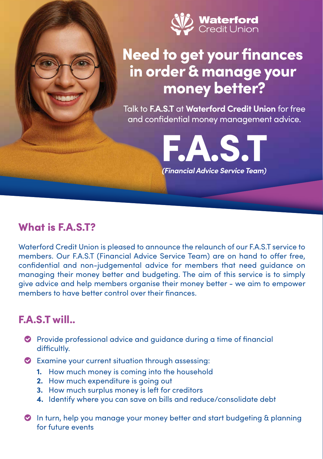

# Need to get your finances in order & manage your money better?

Talk to **F.A.S.T** at **Waterford Credit Union** for free and confidential money management advice.

FAS.

*(Financial Advice Service Team)*

#### What is F.A.S.T?

Waterford Credit Union is pleased to announce the relaunch of our F.A.S.T service to members. Our F.A.S.T (Financial Advice Service Team) are on hand to offer free, confidential and non-judgemental advice for members that need guidance on managing their money better and budgeting. The aim of this service is to simply give advice and help members organise their money better - we aim to empower members to have better control over their finances.

#### F.A.S.T will..

- Provide professional advice and guidance during a time of financial difficultly.
- Examine your current situation through assessing:
	- **1.** How much money is coming into the household
	- **2.** How much expenditure is going out
	- **3.** How much surplus money is left for creditors
	- **4.** Identify where you can save on bills and reduce/consolidate debt
- In turn, help you manage your money better and start budgeting & planning for future events